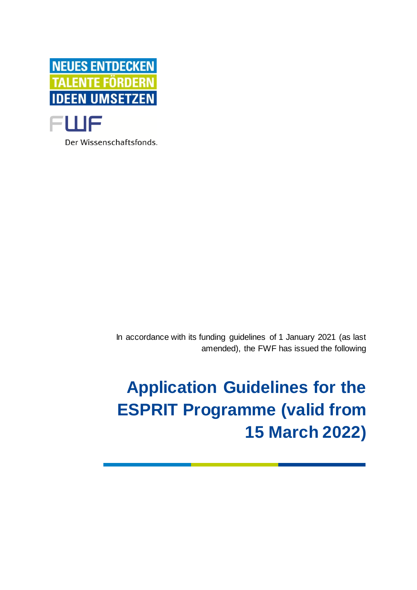

Der Wissenschaftsfonds.

In accordance with its funding guidelines of 1 January 2021 (as last amended), the FWF has issued the following

# **Application Guidelines for the ESPRIT Programme (valid from 15 March 2022)**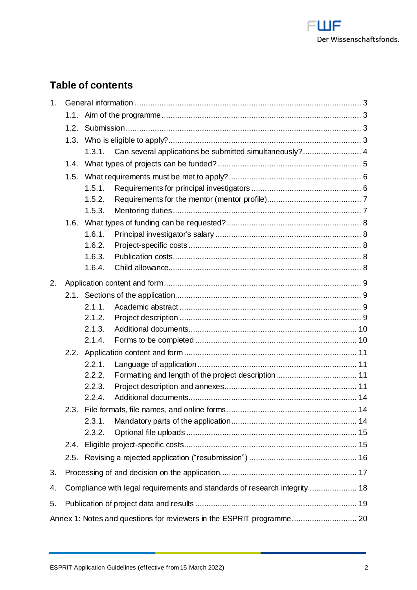

# **Table of contents**

| 1 <sub>1</sub> |                                                                       |                                                                            |                                                                |  |  |
|----------------|-----------------------------------------------------------------------|----------------------------------------------------------------------------|----------------------------------------------------------------|--|--|
|                | 1.1.                                                                  |                                                                            |                                                                |  |  |
|                | 1.2.                                                                  |                                                                            |                                                                |  |  |
|                | 1.3.                                                                  |                                                                            |                                                                |  |  |
|                |                                                                       |                                                                            | 1.3.1. Can several applications be submitted simultaneously? 4 |  |  |
|                | 1.4.                                                                  |                                                                            |                                                                |  |  |
|                | 1.5.                                                                  |                                                                            |                                                                |  |  |
|                |                                                                       | 1.5.1.                                                                     |                                                                |  |  |
|                |                                                                       | 1.5.2.                                                                     |                                                                |  |  |
|                |                                                                       | 1.5.3.                                                                     |                                                                |  |  |
|                | 1.6.                                                                  |                                                                            |                                                                |  |  |
|                |                                                                       | 1.6.1.                                                                     |                                                                |  |  |
|                |                                                                       | 1.6.2.                                                                     |                                                                |  |  |
|                |                                                                       | 1.6.3.                                                                     |                                                                |  |  |
|                |                                                                       | 1.6.4.                                                                     |                                                                |  |  |
| 2.             |                                                                       |                                                                            |                                                                |  |  |
|                |                                                                       |                                                                            |                                                                |  |  |
|                |                                                                       | 2.1.1.                                                                     |                                                                |  |  |
|                |                                                                       | 2.1.2.                                                                     |                                                                |  |  |
|                |                                                                       | 2.1.3.                                                                     |                                                                |  |  |
|                |                                                                       | 2.1.4.                                                                     |                                                                |  |  |
|                |                                                                       |                                                                            |                                                                |  |  |
|                |                                                                       | 2.2.1.                                                                     |                                                                |  |  |
|                |                                                                       | 2.2.2.                                                                     |                                                                |  |  |
|                |                                                                       | 2.2.3.                                                                     |                                                                |  |  |
|                |                                                                       | 2.2.4.                                                                     |                                                                |  |  |
|                |                                                                       |                                                                            |                                                                |  |  |
|                |                                                                       | 2.3.1.                                                                     |                                                                |  |  |
|                |                                                                       | 2.3.2.                                                                     |                                                                |  |  |
|                | 2.4.                                                                  |                                                                            |                                                                |  |  |
|                | 2.5.                                                                  |                                                                            |                                                                |  |  |
| 3.             |                                                                       |                                                                            |                                                                |  |  |
| 4.             |                                                                       | Compliance with legal requirements and standards of research integrity  18 |                                                                |  |  |
| 5.             |                                                                       |                                                                            |                                                                |  |  |
|                | Annex 1: Notes and questions for reviewers in the ESPRIT programme 20 |                                                                            |                                                                |  |  |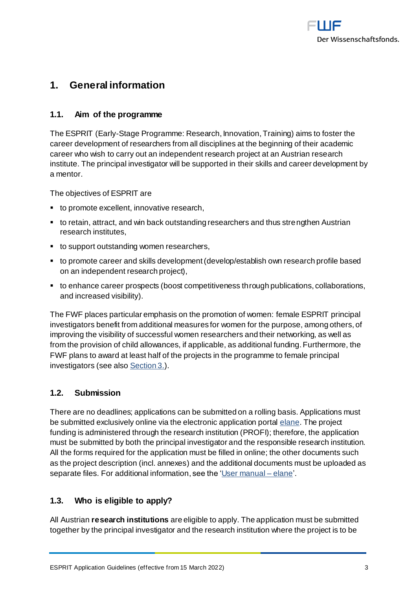

# <span id="page-2-0"></span>**1. General information**

# <span id="page-2-1"></span>**1.1. Aim of the programme**

The ESPRIT (Early-Stage Programme: Research, Innovation, Training) aims to foster the career development of researchers from all disciplines at the beginning of their academic career who wish to carry out an independent research project at an Austrian research institute. The principal investigator will be supported in their skills and career development by a mentor.

The objectives of ESPRIT are

- to promote excellent, innovative research,
- to retain, attract, and win back outstanding researchers and thus strengthen Austrian research institutes,
- to support outstanding women researchers,
- to promote career and skills development (develop/establish own research profile based on an independent research project),
- to enhance career prospects (boost competitiveness through publications, collaborations, and increased visibility).

The FWF places particular emphasis on the promotion of women: female ESPRIT principal investigators benefit from additional measures for women for the purpose, among others, of improving the visibility of successful women researchers and their networking, as well as from the provision of child allowances, if applicable, as additional funding. Furthermore, the FWF plans to award at least half of the projects in the programme to female principal investigators (see als[o Section 3.](#page-16-0)).

# <span id="page-2-2"></span>**1.2. Submission**

There are no deadlines; applications can be submitted on a rolling basis. Applications must be submitted exclusively online via the electronic application porta[l elane](https://elane.fwf.ac.at/). The project funding is administered through the research institution (PROFI); therefore, the application must be submitted by both the principal investigator and the responsible research institution. All the forms required for the application must be filled in online; the other documents such as the project description (incl. annexes) and the additional documents must be uploaded as separate files. For additional information, see the ['User manual –](https://elane.fwf.ac.at/wicket/resource/org.apache.wicket.Application/QuickReference_en-ver-BEBE0AE980D9E3AAD9C10DE9C2B99684.pdf) elane'.

# <span id="page-2-3"></span>**1.3. Who is eligible to apply?**

All Austrian **research institutions** are eligible to apply. The application must be submitted together by the principal investigator and the research institution where the project is to be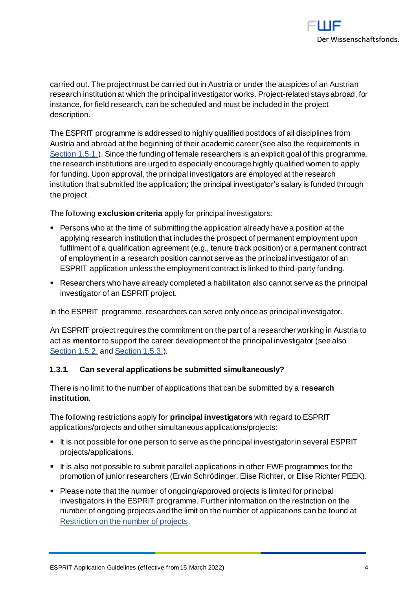

carried out. The project must be carried out in Austria or under the auspices of an Austrian research institution at which the principal investigator works. Project-related stays abroad, for instance, for field research, can be scheduled and must be included in the project description.

The ESPRIT programme is addressed to highly qualified postdocs of all disciplines from Austria and abroad at the beginning of their academic career (see also the requirements in [Section 1.5.1.](#page-5-1)). Since the funding of female researchers is an explicit goal of this programme, the research institutions are urged to especially encourage highly qualified women to apply for funding. Upon approval, the principal investigators are employed at the research institution that submitted the application; the principal investigator's salary is funded through the project.

The following **exclusion criteria** apply for principal investigators:

- Persons who at the time of submitting the application already have a position at the applying research institution that includes the prospect of permanent employment upon fulfilment of a qualification agreement (e.g., tenure track position) or a permanent contract of employment in a research position cannot serve as the principal investigator of an ESPRIT application unless the employment contract is linked to third-party funding.
- Researchers who have already completed a habilitation also cannot serve as the principal investigator of an ESPRIT project.

In the ESPRIT programme, researchers can serve only once as principal investigator.

An ESPRIT project requires the commitment on the part of a researcher working in Austria to act as **mentor**to support the career development of the principal investigator (see also [Section 1.5.2.](#page-6-0) an[d Section 1.5.3.](#page-6-1)).

#### <span id="page-3-0"></span>**1.3.1. Can several applications be submitted simultaneously?**

There is no limit to the number of applications that can be submitted by a **research institution**.

The following restrictions apply for **principal investigators** with regard to ESPRIT applications/projects and other simultaneous applications/projects:

- It is not possible for one person to serve as the principal investigator in several ESPRIT projects/applications.
- It is also not possible to submit parallel applications in other FWF programmes for the promotion of junior researchers (Erwin Schrödinger, Elise Richter, or Elise Richter PEEK).
- Please note that the number of ongoing/approved projects is limited for principal investigators in the ESPRIT programme. Further information on the restriction on the number of ongoing projects and the limit on the number of applications can be found at Restriction on the [number of projects](https://www.fwf.ac.at/fileadmin/files/Dokumente/Antragstellung/project_number_limit.pdf).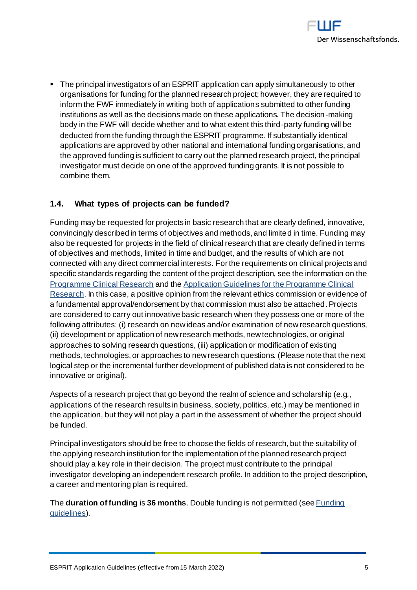

■ The principal investigators of an ESPRIT application can apply simultaneously to other organisations for funding for the planned research project; however, they are required to inform the FWF immediately in writing both of applications submitted to other funding institutions as well as the decisions made on these applications. The decision-making body in the FWF will decide whether and to what extent this third-party funding will be deducted from the funding through the ESPRIT programme. If substantially identical applications are approved by other national and international funding organisations, and the approved funding is sufficient to carry out the planned research project, the principal investigator must decide on one of the approved funding grants. It is not possible to combine them.

# <span id="page-4-0"></span>**1.4. What types of projects can be funded?**

Funding may be requested for projects in basic research that are clearly defined, innovative, convincingly described in terms of objectives and methods, and limited in time. Funding may also be requested for projects in the field of clinical research that are clearly defined in terms of objectives and methods, limited in time and budget, and the results of which are not connected with any direct commercial interests. For the requirements on clinical projects and specific standards regarding the content of the project description, see the information on the [Programme Clinical Research](https://www.fwf.ac.at/en/research-funding/fwf-programmes/programme-clinical-research-klif) and the [Application Guidelines for the Programme Clinical](https://www.fwf.ac.at/fileadmin/files/Dokumente/Antragstellung/KLIF/klif_application-guidelines.pdf)  [Research](https://www.fwf.ac.at/fileadmin/files/Dokumente/Antragstellung/KLIF/klif_application-guidelines.pdf). In this case, a positive opinion from the relevant ethics commission or evidence of a fundamental approval/endorsement by that commission must also be attached. Projects are considered to carry out innovative basic research when they possess one or more of the following attributes: (i) research on new ideas and/or examination of new research questions, (ii) development or application of new research methods, new technologies, or original approaches to solving research questions, (iii) application or modification of existing methods, technologies, or approaches to new research questions. (Please note that the next logical step or the incremental further development of published data is not considered to be innovative or original).

Aspects of a research project that go beyond the realm of science and scholarship (e.g., applications of the research results in business, society, politics, etc.) may be mentioned in the application, but they will not play a part in the assessment of whether the project should be funded.

Principal investigators should be free to choose the fields of research, but the suitability of the applying research institution for the implementation of the planned research project should play a key role in their decision. The project must contribute to the principal investigator developing an independent research profile. In addition to the project description, a career and mentoring plan is required.

The **duration of funding** is **36 months**. Double funding is not permitted (se[e Funding](https://www.fwf.ac.at/fileadmin/files/Dokumente/Ueber_den_FWF/Publikationen/FWF-relevante_Publikationen/fwf_funding_guidelines.pdf)  [guidelines\)](https://www.fwf.ac.at/fileadmin/files/Dokumente/Ueber_den_FWF/Publikationen/FWF-relevante_Publikationen/fwf_funding_guidelines.pdf).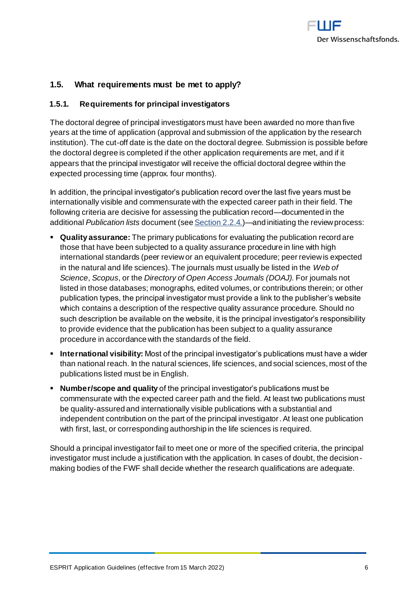

# <span id="page-5-0"></span>**1.5. What requirements must be met to apply?**

#### <span id="page-5-1"></span>**1.5.1. Requirements for principal investigators**

The doctoral degree of principal investigators must have been awarded no more than five years at the time of application (approval and submission of the application by the research institution). The cut-off date is the date on the doctoral degree. Submission is possible before the doctoral degree is completed if the other application requirements are met, and if it appears that the principal investigator will receive the official doctoral degree within the expected processing time (approx. four months).

In addition, the principal investigator's publication record over the last five years must be internationally visible and commensurate with the expected career path in their field. The following criteria are decisive for assessing the publication record—documented in the additional *Publication lists* document (se[e Section 2.2.4.](#page-13-0))—and initiating the review process:

- **Quality assurance:** The primary publications for evaluating the publication record are those that have been subjected to a quality assurance procedure in line with high international standards (peer review or an equivalent procedure; peer review is expected in the natural and life sciences). The journals must usually be listed in the *Web of Science*, *Scopus*, or the *Directory of Open Access Journals (DOAJ)*. For journals not listed in those databases; monographs, edited volumes, or contributions therein; or other publication types, the principal investigator must provide a link to the publisher's website which contains a description of the respective quality assurance procedure. Should no such description be available on the website, it is the principal investigator's responsibility to provide evidence that the publication has been subject to a quality assurance procedure in accordance with the standards of the field.
- **International visibility:** Most of the principal investigator's publications must have a wider than national reach. In the natural sciences, life sciences, and social sciences, most of the publications listed must be in English.
- **Number/scope and quality** of the principal investigator's publications must be commensurate with the expected career path and the field. At least two publications must be quality-assured and internationally visible publications with a substantial and independent contribution on the part of the principal investigator. At least one publication with first, last, or corresponding authorship in the life sciences is required.

Should a principal investigator fail to meet one or more of the specified criteria, the principal investigator must include a justification with the application. In cases of doubt, the decisionmaking bodies of the FWF shall decide whether the research qualifications are adequate.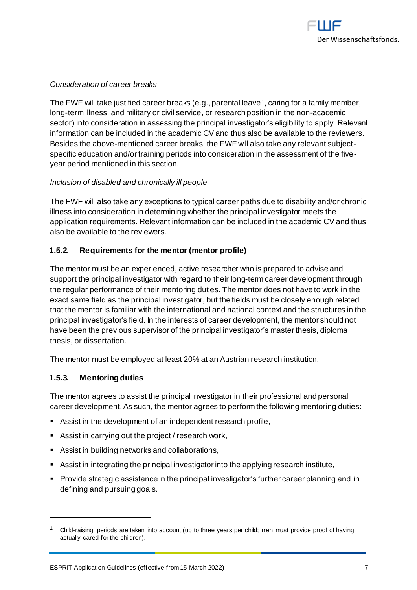

#### *Consideration of career breaks*

The FWF will take justified career breaks (e.g., parental leave<sup>1</sup>, caring for a family member, long-term illness, and military or civil service, or research position in the non-academic sector) into consideration in assessing the principal investigator's eligibility to apply. Relevant information can be included in the academic CV and thus also be available to the reviewers. Besides the above-mentioned career breaks, the FWF will also take any relevant subjectspecific education and/or training periods into consideration in the assessment of the fiveyear period mentioned in this section.

#### *Inclusion of disabled and chronically ill people*

The FWF will also take any exceptions to typical career paths due to disability and/or chronic illness into consideration in determining whether the principal investigator meets the application requirements. Relevant information can be included in the academic CV and thus also be available to the reviewers.

#### <span id="page-6-0"></span>**1.5.2. Requirements for the mentor (mentor profile)**

The mentor must be an experienced, active researcher who is prepared to advise and support the principal investigator with regard to their long-term career development through the regular performance of their mentoring duties. The mentor does not have to work in the exact same field as the principal investigator, but the fields must be closely enough related that the mentor is familiar with the international and national context and the structures in the principal investigator's field. In the interests of career development, the mentor should not have been the previous supervisor of the principal investigator's master thesis, diploma thesis, or dissertation.

The mentor must be employed at least 20% at an Austrian research institution.

#### <span id="page-6-1"></span>**1.5.3. Mentoring duties**

-

The mentor agrees to assist the principal investigator in their professional and personal career development. As such, the mentor agrees to perform the following mentoring duties:

- Assist in the development of an independent research profile,
- Assist in carrying out the project / research work,
- Assist in building networks and collaborations,
- Assist in integrating the principal investigator into the applying research institute,
- Provide strategic assistance in the principal investigator's further career planning and in defining and pursuing goals.

 $1$  Child-raising periods are taken into account (up to three years per child; men must provide proof of having actually cared for the children).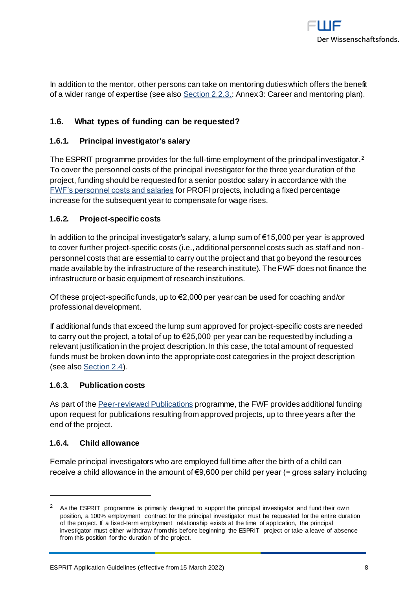

In addition to the mentor, other persons can take on mentoring duties which offers the benefit of a wider range of expertise (see als[o Section 2.2.3.](#page-10-3): Annex 3: Career and mentoring plan).

# <span id="page-7-0"></span>**1.6. What types of funding can be requested?**

#### <span id="page-7-1"></span>**1.6.1. Principal investigator's salary**

The ESPRIT programme provides for the full-time employment of the principal investigator.<sup>2</sup> To cover the personnel costs of the principal investigator for the three year duration of the project, funding should be requested for a senior postdoc salary in accordance with the [FWF's personnel costs and salaries](https://www.fwf.ac.at/en/research-funding/personnel-costs/) for PROFI projects, including a fixed percentage increase for the subsequent year to compensate for wage rises.

#### <span id="page-7-2"></span>**1.6.2. Project-specific costs**

In addition to the principal investigator's salary, a lump sum of  $\epsilon$ 15,000 per year is approved to cover further project-specific costs (i.e., additional personnel costs such as staff and nonpersonnel costs that are essential to carry out the project and that go beyond the resources made available by the infrastructure of the research institute). The FWF does not finance the infrastructure or basic equipment of research institutions.

Of these project-specific funds, up to  $\epsilon$ 2,000 per year can be used for coaching and/or professional development.

If additional funds that exceed the lump sum approved for project-specific costs are needed to carry out the project, a total of up to €25,000 per year can be requested by including a relevant justification in the project description. In this case, the total amount of requested funds must be broken down into the appropriate cost categories in the project description (see als[o Section 2.4\)](#page-14-1).

#### <span id="page-7-3"></span>**1.6.3. Publication costs**

As part of th[e Peer-reviewed Publications](https://www.fwf.ac.at/en/research-funding/fwf-programmes/peer-reviewed-publications/) programme, the FWF provides additional funding upon request for publications resulting from approved projects, up to three years after the end of the project.

#### <span id="page-7-4"></span>**1.6.4. Child allowance**

-

Female principal investigators who are employed full time after the birth of a child can receive a child allowance in the amount of €9,600 per child per year (= gross salary including

<sup>&</sup>lt;sup>2</sup> As the ESPRIT programme is primarily designed to support the principal investigator and fund their own position, a 100% employment contract for the principal investigator must be requested for the entire duration of the project. If a fixed-term employment relationship exists at the time of application, the principal investigator must either w ithdraw from this before beginning the ESPRIT project or take a leave of absence from this position for the duration of the project.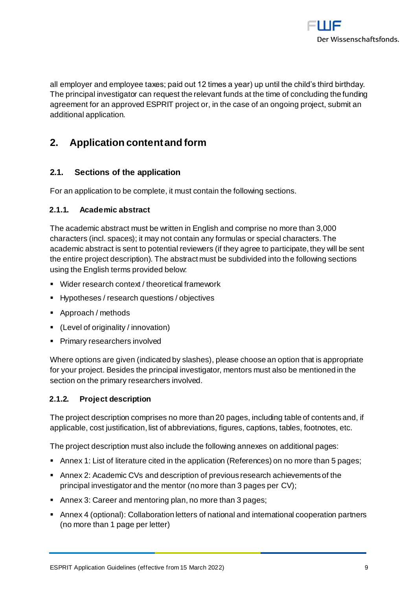

all employer and employee taxes; paid out 12 times a year) up until the child's third birthday. The principal investigator can request the relevant funds at the time of concluding the funding agreement for an approved ESPRIT project or, in the case of an ongoing project, submit an additional application.

# <span id="page-8-0"></span>**2. Application content and form**

# <span id="page-8-1"></span>**2.1. Sections of the application**

For an application to be complete, it must contain the following sections.

#### <span id="page-8-2"></span>**2.1.1. Academic abstract**

The academic abstract must be written in English and comprise no more than 3,000 characters (incl. spaces); it may not contain any formulas or special characters. The academic abstract is sent to potential reviewers (if they agree to participate, they will be sent the entire project description). The abstract must be subdivided into the following sections using the English terms provided below:

- Wider research context / theoretical framework
- Hypotheses / research questions / objectives
- Approach / methods
- (Level of originality / innovation)
- **•** Primary researchers involved

Where options are given (indicated by slashes), please choose an option that is appropriate for your project. Besides the principal investigator, mentors must also be mentioned in the section on the primary researchers involved.

# <span id="page-8-3"></span>**2.1.2. Project description**

The project description comprises no more than 20 pages, including table of contents and, if applicable, cost justification, list of abbreviations, figures, captions, tables, footnotes, etc.

The project description must also include the following annexes on additional pages:

- Annex 1: List of literature cited in the application (References) on no more than 5 pages;
- Annex 2: Academic CVs and description of previous research achievements of the principal investigator and the mentor (no more than 3 pages per CV);
- Annex 3: Career and mentoring plan, no more than 3 pages;
- Annex 4 (optional): Collaboration letters of national and international cooperation partners (no more than 1 page per letter)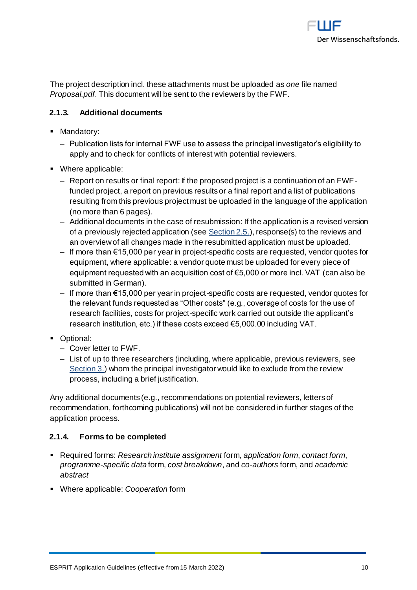

The project description incl. these attachments must be uploaded as *one* file named *Proposal.pdf*. This document will be sent to the reviewers by the FWF.

# <span id="page-9-0"></span>**2.1.3. Additional documents**

- **■** Mandatory:
	- ‒ Publication lists for internal FWF use to assess the principal investigator's eligibility to apply and to check for conflicts of interest with potential reviewers.
- Where applicable:
	- ‒ Report on results or final report: If the proposed project is a continuation of an FWFfunded project, a report on previous results or a final report and a list of publications resulting from this previous project must be uploaded in the language of the application (no more than 6 pages).
	- ‒ Additional documents in the case of resubmission: If the application is a revised version of a previously rejected application (see  $Section 2.5$ ), response(s) to the reviews and an overview of all changes made in the resubmitted application must be uploaded.
	- ‒ If more than €15,000 per year in project-specific costs are requested, vendor quotes for equipment, where applicable: a vendor quote must be uploaded for every piece of equipment requested with an acquisition cost of €5,000 or more incl. VAT (can also be submitted in German).
	- $−$  If more than €15,000 per year in project-specific costs are requested, vendor quotes for the relevant funds requested as "Other costs" (e.g., coverage of costs for the use of research facilities, costs for project-specific work carried out outside the applicant's research institution, etc.) if these costs exceed €5,000.00 including VAT.
- **•** Optional:
	- ‒ Cover letter to FWF.
	- ‒ List of up to three researchers (including, where applicable, previous reviewers, see [Section 3.\)](#page-16-0) whom the principal investigator would like to exclude from the review process, including a brief justification.

Any additional documents (e.g., recommendations on potential reviewers, letters of recommendation, forthcoming publications) will not be considered in further stages of the application process.

# <span id="page-9-1"></span>**2.1.4. Forms to be completed**

- Required forms: *Research institute assignment* form, *application form*, *contact form*, *programme-specific data* form, *cost breakdown*, and *co-authors* form, and *academic abstract*
- Where applicable: *Cooperation* form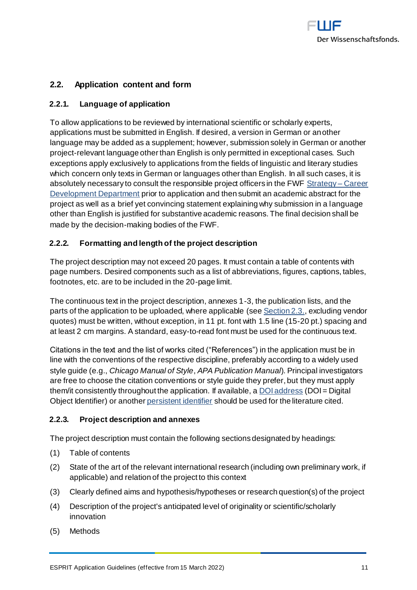

# <span id="page-10-0"></span>**2.2. Application content and form**

#### <span id="page-10-1"></span>**2.2.1. Language of application**

To allow applications to be reviewed by international scientific or scholarly experts, applications must be submitted in English. If desired, a version in German or another language may be added as a supplement; however, submission solely in German or another project-relevant language other than English is only permitted in exceptional cases. Such exceptions apply exclusively to applications from the fields of linguistic and literary studies which concern only texts in German or languages other than English. In all such cases, it is absolutely necessary to consult the responsible project officers in the FWF [Strategy –](https://www.fwf.ac.at/en/about-the-fwf/organisation/fwf-team/specialist-departments/strategy-career-development/) Career [Development Department](https://www.fwf.ac.at/en/about-the-fwf/organisation/fwf-team/specialist-departments/strategy-career-development/) prior to application and then submit an academic abstract for the project as well as a brief yet convincing statement explaining why submission in a language other than English is justified for substantive academic reasons. The final decision shall be made by the decision-making bodies of the FWF.

#### <span id="page-10-2"></span>**2.2.2. Formatting and length of the project description**

The project description may not exceed 20 pages. It must contain a table of contents with page numbers. Desired components such as a list of abbreviations, figures, captions, tables, footnotes, etc. are to be included in the 20-page limit.

The continuous text in the project description, annexes 1-3, the publication lists, and the parts of the application to be uploaded, where applicable (see [Section 2.3.](#page-13-1), excluding vendor quotes) must be written, without exception, in 11 pt. font with 1.5 line (15-20 pt.) spacing and at least 2 cm margins. A standard, easy-to-read font must be used for the continuous text.

Citations in the text and the list of works cited ("References") in the application must be in line with the conventions of the respective discipline, preferably according to a widely used style guide (e.g., *Chicago Manual of Style*, *APA Publication Manual*). Principal investigators are free to choose the citation conventions or style guide they prefer, but they must apply them/it consistently throughout the application. If available, a **DOI** address (DOI = Digital Object Identifier) or anothe[r persistent identifier](https://en.wikipedia.org/wiki/Persistent_identifier) should be used for the literature cited.

#### <span id="page-10-3"></span>**2.2.3. Project description and annexes**

The project description must contain the following sections designated by headings:

- (1) Table of contents
- (2) State of the art of the relevant international research (including own preliminary work, if applicable) and relation of the project to this context
- (3) Clearly defined aims and hypothesis/hypotheses or research question(s) of the project
- (4) Description of the project's anticipated level of originality or scientific/scholarly innovation
- (5) Methods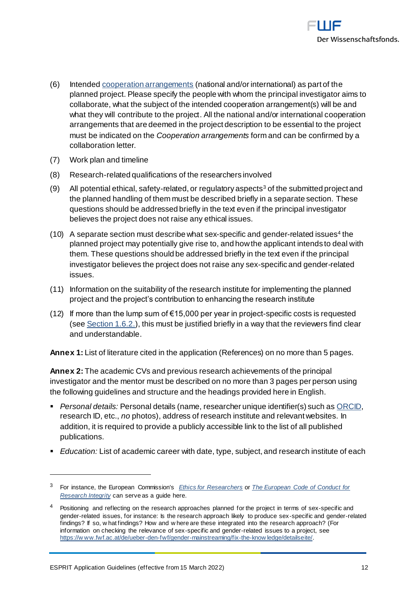

- (6) Intende[d cooperation arrangements](https://www.fwf.ac.at/fileadmin/files/Dokumente/Antragstellung/glossary_application-guidelines.pdf) (national and/or international) as part of the planned project. Please specify the people with whom the principal investigator aims to collaborate, what the subject of the intended cooperation arrangement(s) will be and what they will contribute to the project. All the national and/or international cooperation arrangements that are deemed in the project description to be essential to the project must be indicated on the *Cooperation arrangements* form and can be confirmed by a collaboration letter.
- (7) Work plan and timeline
- (8) Research-related qualifications of the researchers involved
- (9) All potential ethical, safety-related, or regulatory aspects<sup>3</sup> of the submitted project and the planned handling of them must be described briefly in a separate section. These questions should be addressed briefly in the text even if the principal investigator believes the project does not raise any ethical issues.
- (10) A separate section must describe what sex-specific and gender-related issues<sup>4</sup> the planned project may potentially give rise to, and how the applicant intends to deal with them. These questions should be addressed briefly in the text even if the principal investigator believes the project does not raise any sex-specific and gender-related issues.
- (11) Information on the suitability of the research institute for implementing the planned project and the project's contribution to enhancing the research institute
- (12) If more than the lump sum of  $\epsilon$ 15,000 per year in project-specific costs is requested (see  $Section 1.6.2$ ), this must be justified briefly in a way that the reviewers find clear and understandable.

**Annex 1:** List of literature cited in the application (References) on no more than 5 pages.

**Annex 2:** The academic CVs and previous research achievements of the principal investigator and the mentor must be described on no more than 3 pages per person using the following guidelines and structure and the headings provided here in English.

- *Personal details:* Personal details (name, researcher unique identifier(s) such a[s ORCID,](https://orcid.org/) research ID, etc., *no* photos), address of research institute and relevant websites. In addition, it is required to provide a publicly accessible link to the list of all published publications.
- *Education:* List of academic career with date, type, subject, and research institute of each

-

<sup>3</sup> For instance, the European Commission's *[Ethics for Researchers](http://ec.europa.eu/research/participants/data/ref/fp7/89888/ethics-for-researchers_en.pdf)* or *[The European Code of Conduct for](https://ec.europa.eu/info/funding-tenders/opportunities/docs/2021-2027/horizon/guidance/european-code-of-conduct-for-research-integrity_horizon_en.pdf)  [Research Integrity](https://ec.europa.eu/info/funding-tenders/opportunities/docs/2021-2027/horizon/guidance/european-code-of-conduct-for-research-integrity_horizon_en.pdf)* can serve as a guide here.

<sup>&</sup>lt;sup>4</sup> Positioning and reflecting on the research approaches planned for the project in terms of sex-specific and gender-related issues, for instance: Is the research approach likely to produce sex-specific and gender-related findings? If so, w hat findings? How and w here are these integrated into the research approach? (For information on checking the relevance of sex-specific and gender-related issues to a project, see [https://w ww.fwf.ac.at/de/ueber-den-fwf/gender-mainstreaming/fix-the-know ledge/detailseite/.](https://www.fwf.ac.at/en/about-the-fwf/gender-issues/fix-the-knowledge/fix-the-knowledge-detail/)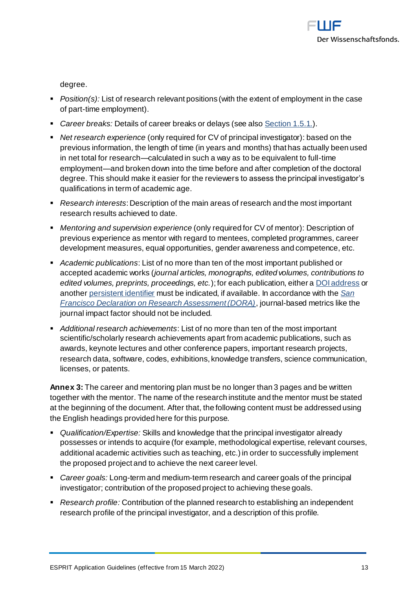

degree.

- *Position(s):* List of research relevant positions (with the extent of employment in the case of part-time employment).
- *Career breaks:* Details of career breaks or delays (see als[o Section 1.5.1.](#page-5-1)).
- *Net research experience* (only required for CV of principal investigator): based on the previous information, the length of time (in years and months) that has actually been used in net total for research—calculated in such a way as to be equivalent to full-time employment—and broken down into the time before and after completion of the doctoral degree. This should make it easier for the reviewers to assess the principal investigator's qualifications in term of academic age.
- *Research interests*: Description of the main areas of research and the most important research results achieved to date.
- *Mentoring and supervision experience* (only required for CV of mentor): Description of previous experience as mentor with regard to mentees, completed programmes, career development measures, equal opportunities, gender awareness and competence, etc.
- *Academic publications*: List of no more than ten of the most important published or accepted academic works (*journal articles, monographs, edited volumes, contributions to edited volumes, preprints, proceedings, etc.*); for each publication, either [a DOI address](https://www.doi.org/) or anothe[r persistent identifier](https://en.wikipedia.org/wiki/Persistent_identifier) must be indicated, if available. In accordance with the *[San](https://sfdora.org/read/)  [Francisco Declaration on Research Assessment \(DORA\)](https://sfdora.org/read/)*, journal-based metrics like the journal impact factor should not be included.
- *Additional research achievements*: List of no more than ten of the most important scientific/scholarly research achievements apart from academic publications, such as awards, keynote lectures and other conference papers, important research projects, research data, software, codes, exhibitions, knowledge transfers, science communication, licenses, or patents.

**Annex 3:** The career and mentoring plan must be no longer than 3 pages and be written together with the mentor. The name of the research institute and the mentor must be stated at the beginning of the document. After that, the following content must be addressed using the English headings provided here for this purpose.

- *Qualification/Expertise:* Skills and knowledge that the principal investigator already possesses or intends to acquire (for example, methodological expertise, relevant courses, additional academic activities such as teaching, etc.) in order to successfully implement the proposed project and to achieve the next career level.
- *Career goals:* Long-term and medium-term research and career goals of the principal investigator; contribution of the proposed project to achieving these goals.
- *Research profile:* Contribution of the planned research to establishing an independent research profile of the principal investigator, and a description of this profile.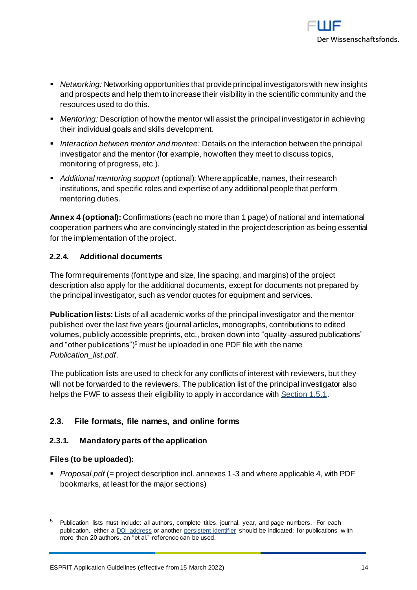

- *Networking:* Networking opportunities that provide principal investigators with new insights and prospects and help them to increase their visibility in the scientific community and the resources used to do this.
- *Mentoring:* Description of how the mentor will assist the principal investigator in achieving their individual goals and skills development.
- *Interaction between mentor and mentee:* Details on the interaction between the principal investigator and the mentor (for example, how often they meet to discuss topics, monitoring of progress, etc.).
- *Additional mentoring support* (optional): Where applicable, names, their research institutions, and specific roles and expertise of any additional people that perform mentoring duties.

**Annex 4 (optional):** Confirmations (each no more than 1 page) of national and international cooperation partners who are convincingly stated in the project description as being essential for the implementation of the project.

# <span id="page-13-0"></span>**2.2.4. Additional documents**

The form requirements (font type and size, line spacing, and margins) of the project description also apply for the additional documents, except for documents not prepared by the principal investigator, such as vendor quotes for equipment and services.

**Publication lists:** Lists of all academic works of the principal investigator and the mentor published over the last five years (journal articles, monographs, contributions to edited volumes, publicly accessible preprints, etc., broken down into "quality-assured publications" and "other publications")<sup>5</sup> must be uploaded in one PDF file with the name *Publication\_list.pdf*.

The publication lists are used to check for any conflicts of interest with reviewers, but they will not be forwarded to the reviewers. The publication list of the principal investigator also helps the FWF to assess their eligibility to apply in accordance wit[h Section 1.5.1](#page-5-1).

# <span id="page-13-1"></span>**2.3. File formats, file names, and online forms**

# <span id="page-13-2"></span>**2.3.1. Mandatory parts of the application**

# **Files (to be uploaded):**

-

▪ *Proposal.pdf* (= project description incl. annexes 1-3 and where applicable 4, with PDF bookmarks, at least for the major sections)

<sup>5</sup> Publication lists must include: all authors, complete titles, journal, year, and page numbers. For each publication, either [a DOI address](http://www.doi.org/) or another [persistent identifier](https://en.wikipedia.org/wiki/Persistent_identifier) should be indicated; for publications with more than 20 authors, an "et al." reference can be used.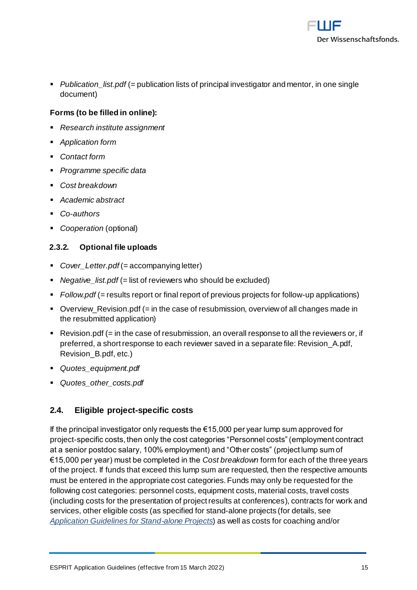

■ *Publication list.pdf* (= publication lists of principal investigator and mentor, in one single document)

# **Forms (to be filled in online):**

- *Research institute assignment*
- *Application form*
- *Contact form*
- *Programme specific data*
- *Cost breakdown*
- *Academic abstract*
- *Co-authors*
- *Cooperation* (optional)

#### <span id="page-14-0"></span>**2.3.2. Optional file uploads**

- *Cover\_Letter.pdf* (= accompanying letter)
- *Negative list.pdf* (= list of reviewers who should be excluded)
- *Follow.pdf* (= results report or final report of previous projects for follow-up applications)
- Overview\_Revision.pdf (= in the case of resubmission, overview of all changes made in the resubmitted application)
- $\blacksquare$  Revision.pdf (= in the case of resubmission, an overall response to all the reviewers or, if preferred, a short response to each reviewer saved in a separate file: Revision\_A.pdf, Revision\_B.pdf, etc.)
- *Quotes\_equipment.pdf*
- <span id="page-14-1"></span>▪ *Quotes\_other\_costs.pdf*

# **2.4. Eligible project-specific costs**

If the principal investigator only requests the €15,000 per year lump sum approved for project-specific costs, then only the cost categories "Personnel costs" (employment contract at a senior postdoc salary, 100% employment) and "Other costs" (project lump sum of €15,000 per year) must be completed in the *Cost breakdown* form for each of the three years of the project. If funds that exceed this lump sum are requested, then the respective amounts must be entered in the appropriate cost categories. Funds may only be requested for the following cost categories: personnel costs, equipment costs, material costs, travel costs (including costs for the presentation of project results at conferences), contracts for work and services, other eligible costs (as specified for stand-alone projects (for details, see *[Application Guidelines for Stand-alone Projects](https://www.fwf.ac.at/fileadmin/files/Dokumente/Antragstellung/Einzelprojekte/p_application-guidelines.pdf)*) as well as costs for coaching and/or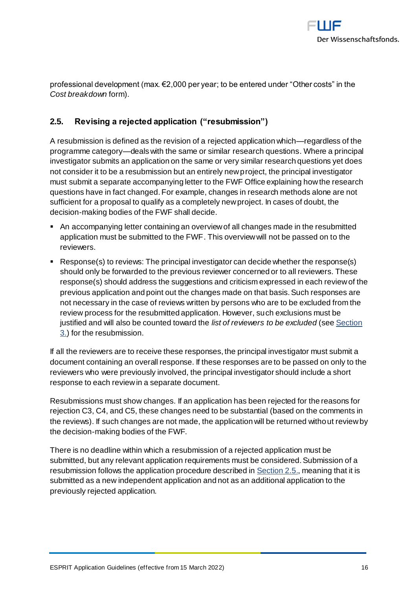

professional development (max. €2,000 per year; to be entered under "Other costs" in the *Cost breakdown* form).

# <span id="page-15-0"></span>**2.5. Revising a rejected application ("resubmission")**

A resubmission is defined as the revision of a rejected application which—regardless of the programme category—deals with the same or similar research questions. Where a principal investigator submits an application on the same or very similar research questions yet does not consider it to be a resubmission but an entirely new project, the principal investigator must submit a separate accompanying letter to the FWF Office explaining how the research questions have in fact changed. For example, changes in research methods alone are not sufficient for a proposal to qualify as a completely new project. In cases of doubt, the decision-making bodies of the FWF shall decide.

- An accompanying letter containing an overview of all changes made in the resubmitted application must be submitted to the FWF. This overview will not be passed on to the reviewers.
- Response(s) to reviews: The principal investigator can decide whether the response(s) should only be forwarded to the previous reviewer concerned or to all reviewers. These response(s) should address the suggestions and criticism expressed in each review of the previous application and point out the changes made on that basis. Such responses are not necessary in the case of reviews written by persons who are to be excluded from the review process for the resubmitted application. However, such exclusions must be justified and will also be counted toward the *list of reviewers to be excluded* (se[e Section](#page-16-0)  [3.\)](#page-16-0) for the resubmission.

If all the reviewers are to receive these responses, the principal investigator must submit a document containing an overall response. If these responses are to be passed on only to the reviewers who were previously involved, the principal investigator should include a short response to each review in a separate document.

Resubmissions must show changes. If an application has been rejected for the reasons for rejection C3, C4, and C5, these changes need to be substantial (based on the comments in the reviews). If such changes are not made, the application will be returned without review by the decision-making bodies of the FWF.

There is no deadline within which a resubmission of a rejected application must be submitted, but any relevant application requirements must be considered. Submission of a resubmission follows the application procedure described in Section 2.5, meaning that it is submitted as a new independent application and not as an additional application to the previously rejected application.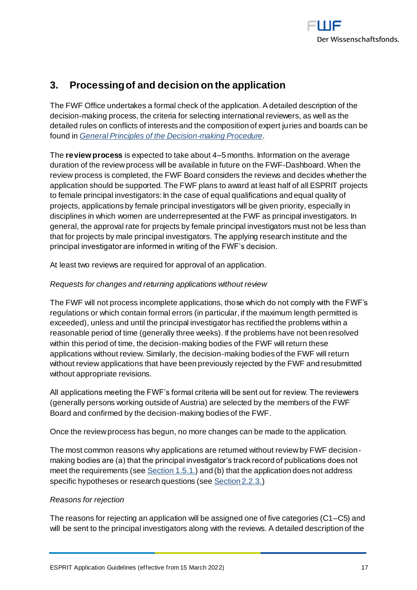

# <span id="page-16-0"></span>**3. Processing of and decision on the application**

The FWF Office undertakes a formal check of the application. A detailed description of the decision-making process, the criteria for selecting international reviewers, as well as the detailed rules on conflicts of interests and the composition of expert juries and boards can be found in *[General Principles of the Decision-making Procedure](https://www.fwf.ac.at/fileadmin/files/Dokumente/Entscheidung_Evaluation/fwf-decision-making-procedure.pdf)*.

The **review process** is expected to take about 4–5 months. Information on the average duration of the review process will be available in future on the FWF-Dashboard. When the review process is completed, the FWF Board considers the reviews and decides whether the application should be supported. The FWF plans to award at least half of all ESPRIT projects to female principal investigators: In the case of equal qualifications and equal quality of projects, applications by female principal investigators will be given priority, especially in disciplines in which women are underrepresented at the FWF as principal investigators. In general, the approval rate for projects by female principal investigators must not be less than that for projects by male principal investigators. The applying research institute and the principal investigator are informed in writing of the FWF's decision.

At least two reviews are required for approval of an application.

# *Requests for changes and returning applications without review*

The FWF will not process incomplete applications, those which do not comply with the FWF's regulations or which contain formal errors (in particular, if the maximum length permitted is exceeded), unless and until the principal investigator has rectified the problems within a reasonable period of time (generally three weeks). If the problems have not been resolved within this period of time, the decision-making bodies of the FWF will return these applications without review. Similarly, the decision-making bodies of the FWF will return without review applications that have been previously rejected by the FWF and resubmitted without appropriate revisions.

All applications meeting the FWF's formal criteria will be sent out for review. The reviewers (generally persons working outside of Austria) are selected by the members of the FWF Board and confirmed by the decision-making bodies of the FWF.

Once the review process has begun, no more changes can be made to the application.

The most common reasons why applications are returned without review by FWF decisionmaking bodies are (a) that the principal investigator's track record of publications does not meet the requirements (se[e Section 1.5.1.](#page-5-1)) and (b) that the application does not address specific hypotheses or research questions (se[e Section 2.2.3.](#page-10-3))

# *Reasons for rejection*

The reasons for rejecting an application will be assigned one of five categories (C1–C5) and will be sent to the principal investigators along with the reviews. A detailed description of the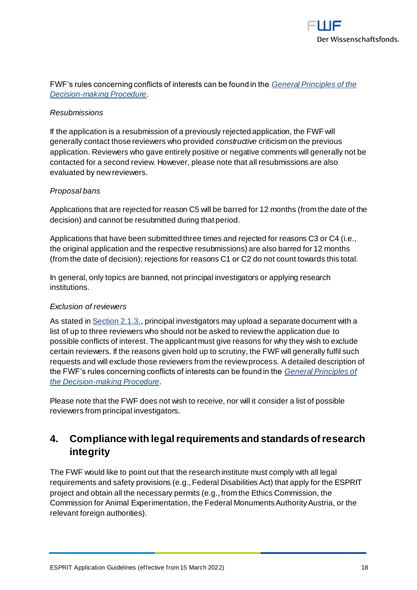

# FWF's rules concerning conflicts of interests can be found in the *[General Principles of the](https://www.fwf.ac.at/fileadmin/files/Dokumente/Entscheidung_Evaluation/fwf-decision-making-procedure.pdf)  [Decision-making Procedure](https://www.fwf.ac.at/fileadmin/files/Dokumente/Entscheidung_Evaluation/fwf-decision-making-procedure.pdf)*.

#### *Resubmissions*

If the application is a resubmission of a previously rejected application, the FWF will generally contact those reviewers who provided *constructive* criticism on the previous application. Reviewers who gave entirely positive or negative comments will generally not be contacted for a second review. However, please note that all resubmissions are also evaluated by new reviewers.

#### *Proposal bans*

Applications that are rejected for reason C5 will be barred for 12 months (from the date of the decision) and cannot be resubmitted during that period.

Applications that have been submitted three times and rejected for reasons C3 or C4 (i.e., the original application and the respective resubmissions) are also barred for 12 months (from the date of decision); rejections for reasons C1 or C2 do not count towards this total.

In general, only topics are banned, not principal investigators or applying research institutions.

#### *Exclusion of reviewers*

As stated in **Section 2.1.3.**, principal investigators may upload a separate document with a list of up to three reviewers who should not be asked to review the application due to possible conflicts of interest. The applicant must give reasons for why they wish to exclude certain reviewers. If the reasons given hold up to scrutiny, the FWF will generally fulfil such requests and will exclude those reviewers from the review process. A detailed description of the FWF's rules concerning conflicts of interests can be found in the *[General Principles of](https://www.fwf.ac.at/fileadmin/files/Dokumente/Entscheidung_Evaluation/fwf-decision-making-procedure.pdf)  [the Decision-making Procedure](https://www.fwf.ac.at/fileadmin/files/Dokumente/Entscheidung_Evaluation/fwf-decision-making-procedure.pdf)*.

Please note that the FWF does not wish to receive, nor will it consider a list of possible reviewers from principal investigators.

# <span id="page-17-0"></span>**4. Compliance with legal requirements and standards of research integrity**

The FWF would like to point out that the research institute must comply with all legal requirements and safety provisions (e.g., Federal Disabilities Act) that apply for the ESPRIT project and obtain all the necessary permits (e.g., from the Ethics Commission, the Commission for Animal Experimentation, the Federal Monuments Authority Austria, or the relevant foreign authorities).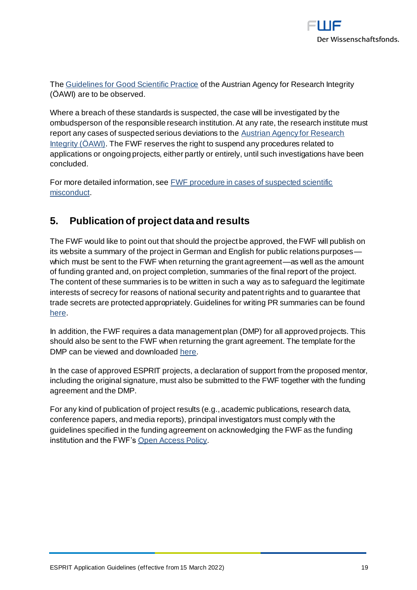

Th[e Guidelines for Good Scientific Practice](https://oeawi.at/en/guidelines/) of the Austrian Agency for Research Integrity (ÖAWI) are to be observed.

Where a breach of these standards is suspected, the case will be investigated by the ombudsperson of the responsible research institution. At any rate, the research institute must report any cases of suspected serious deviations to the **Austrian Agency for Research** [Integrity \(ÖAWI\).](https://oeawi.at/) The FWF reserves the right to suspend any procedures related to applications or ongoing projects, either partly or entirely, until such investigations have been concluded.

For more detailed information, se[e FWF procedure in cases of suspected scientific](https://www.fwf.ac.at/fileadmin/files/Dokumente/Research_Integrity_Ethics/FWF_Verfahren_Research_Misconduct-en.pdf)  [misconduct.](https://www.fwf.ac.at/fileadmin/files/Dokumente/Research_Integrity_Ethics/FWF_Verfahren_Research_Misconduct-en.pdf)

# <span id="page-18-0"></span>**5. Publication of project data and results**

The FWF would like to point out that should the project be approved, the FWF will publish on its website a summary of the project in German and English for public relations purposes which must be sent to the FWF when returning the grant agreement—as well as the amount of funding granted and, on project completion, summaries of the final report of the project. The content of these summaries is to be written in such a way as to safeguard the legitimate interests of secrecy for reasons of national security and patent rights and to guarantee that trade secrets are protected appropriately. Guidelines for writing PR summaries can be found [here.](https://www.fwf.ac.at/fileadmin/files/Dokumente/Antragstellung/specifications_pr-summaries.pdf)

In addition, the FWF requires a data management plan (DMP) for all approved projects. This should also be sent to the FWF when returning the grant agreement. The template for the DMP can be viewed and downloade[d here](https://www.fwf.ac.at/en/research-funding/open-access-policy/research-data-management/).

In the case of approved ESPRIT projects, a declaration of support from the proposed mentor, including the original signature, must also be submitted to the FWF together with the funding agreement and the DMP.

For any kind of publication of project results (e.g., academic publications, research data, conference papers, and media reports), principal investigators must comply with the guidelines specified in the funding agreement on acknowledging the FWF as the funding institution and the FWF'[s Open Access Policy](https://www.fwf.ac.at/en/research-funding/open-access-policy/).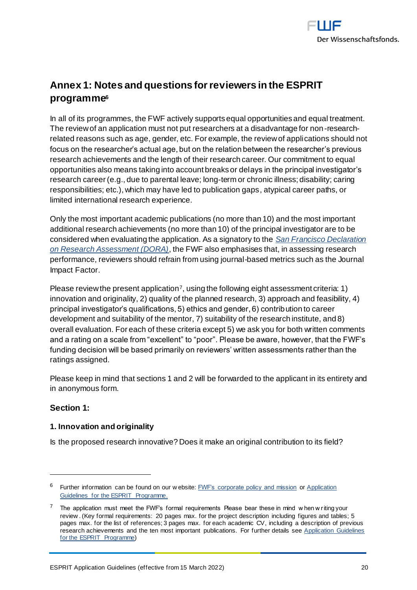

# <span id="page-19-0"></span>**Annex 1: Notes and questions for reviewers in the ESPRIT programme<sup>6</sup>**

In all of its programmes, the FWF actively supports equal opportunities and equal treatment. The review of an application must not put researchers at a disadvantage for non-researchrelated reasons such as age, gender, etc. For example, the review of applications should not focus on the researcher's actual age, but on the relation between the researcher's previous research achievements and the length of their research career. Our commitment to equal opportunities also means taking into account breaks or delays in the principal investigator's research career (e.g., due to parental leave; long-term or chronic illness; disability; caring responsibilities; etc.), which may have led to publication gaps, atypical career paths, or limited international research experience.

Only the most important academic publications (no more than 10) and the most important additional research achievements (no more than 10) of the principal investigator are to be considered when evaluating the application. As a signatory to the *[San Francisco Declaration](https://sfdora.org/read/)  [on Research Assessment \(DORA\)](https://sfdora.org/read/)*, the FWF also emphasises that, in assessing research performance, reviewers should refrain from using journal-based metrics such as the Journal Impact Factor.

Please review the present application<sup>7</sup>, using the following eight assessment criteria: 1) innovation and originality, 2) quality of the planned research, 3) approach and feasibility, 4) principal investigator's qualifications, 5) ethics and gender, 6) contribution to career development and suitability of the mentor, 7) suitability of the research institute, and 8) overall evaluation. For each of these criteria except 5) we ask you for both written comments and a rating on a scale from "excellent" to "poor". Please be aware, however, that the FWF's funding decision will be based primarily on reviewers' written assessments rather than the ratings assigned.

Please keep in mind that sections 1 and 2 will be forwarded to the applicant in its entirety and in anonymous form.

# **Section 1:**

-

# **1. Innovation and originality**

Is the proposed research innovative? Does it make an original contribution to its field?

<sup>&</sup>lt;sup>6</sup> Further information can be found on our w ebsite: **FWF's corporate policy and mission** or Application [Guidelines for the ESPRIT Programme.](https://www.fwf.ac.at/fileadmin/files/Dokumente/Antragstellung/ESPRIT/esp_application-guidelines.pdf)

 $7$  The application must meet the FWF's formal requirements Please bear these in mind w hen w riting your review . (Key formal requirements: 20 pages max. for the project description including figures and tables; 5 pages max. for the list of references; 3 pages max. for each academic CV, including a description of previous research achievements and the ten most important publications. For further details see Application Guidelines [for the ESPRIT Programme\)](https://www.fwf.ac.at/fileadmin/files/Dokumente/Antragstellung/ESPRIT/esp_application-guidelines.pdf)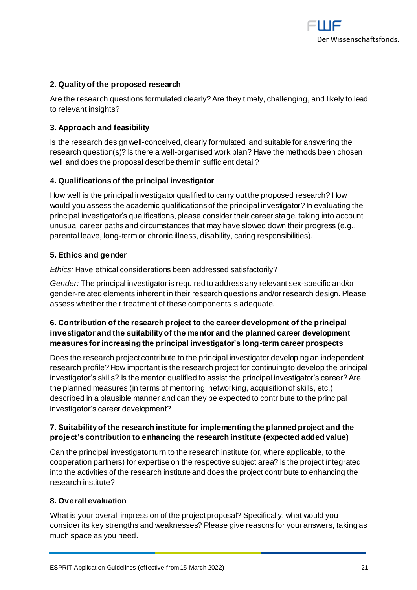

#### **2. Quality of the proposed research**

Are the research questions formulated clearly? Are they timely, challenging, and likely to lead to relevant insights?

#### **3. Approach and feasibility**

Is the research design well-conceived, clearly formulated, and suitable for answering the research question(s)? Is there a well-organised work plan? Have the methods been chosen well and does the proposal describe them in sufficient detail?

#### **4. Qualifications of the principal investigator**

How well is the principal investigator qualified to carry out the proposed research? How would you assess the academic qualifications of the principal investigator? In evaluating the principal investigator's qualifications, please consider their career stage, taking into account unusual career paths and circumstances that may have slowed down their progress (e.g., parental leave, long-term or chronic illness, disability, caring responsibilities).

#### **5. Ethics and gender**

*Ethics:* Have ethical considerations been addressed satisfactorily?

*Gender:* The principal investigator is required to address any relevant sex-specific and/or gender-related elements inherent in their research questions and/or research design. Please assess whether their treatment of these components is adequate.

# **6. Contribution of the research project to the career development of the principal investigator and the suitability of the mentor and the planned career development measures for increasing the principal investigator's long-term career prospects**

Does the research project contribute to the principal investigator developing an independent research profile? How important is the research project for continuing to develop the principal investigator's skills? Is the mentor qualified to assist the principal investigator's career? Are the planned measures (in terms of mentoring, networking, acquisition of skills, etc.) described in a plausible manner and can they be expected to contribute to the principal investigator's career development?

# **7. Suitability of the research institute for implementing the planned project and the project's contribution to enhancing the research institute (expected added value)**

Can the principal investigator turn to the research institute (or, where applicable, to the cooperation partners) for expertise on the respective subject area? Is the project integrated into the activities of the research institute and does the project contribute to enhancing the research institute?

#### **8. Overall evaluation**

What is your overall impression of the project proposal? Specifically, what would you consider its key strengths and weaknesses? Please give reasons for your answers, taking as much space as you need.